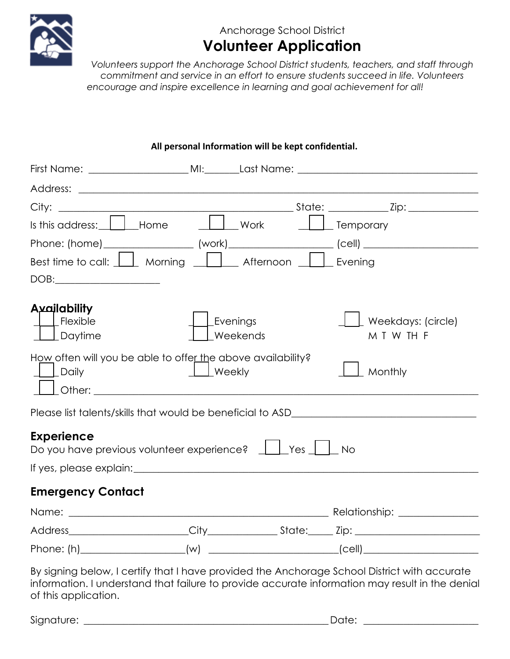

## Anchorage School District **Volunteer Application**

 *Volunteers support the Anchorage School District students, teachers, and staff through encourage and inspire excellence in learning and goal achievement for all! commitment and service in an effort to ensure students succeed in life. Volunteers* 

|                                                                                                                                                                                                                               |                |          |                       | First Name: _______________________MI:_______Last Name: _________________________                   |
|-------------------------------------------------------------------------------------------------------------------------------------------------------------------------------------------------------------------------------|----------------|----------|-----------------------|-----------------------------------------------------------------------------------------------------|
|                                                                                                                                                                                                                               |                |          |                       |                                                                                                     |
|                                                                                                                                                                                                                               |                |          |                       |                                                                                                     |
| Is this address: $\begin{array}{ c c } \hline \ \hline \ \hline \ \hline \end{array}$ Home                                                                                                                                    | <b>Nork</b>    |          | <u>Lose</u> Temporary |                                                                                                     |
|                                                                                                                                                                                                                               |                |          |                       | Phone: (home) ____________________ (work)______________________ (cell) ____________________________ |
| Best time to call: $\bigsqcup$ Morning $\bigsqcup$ Afternoon $\bigsqcup$                                                                                                                                                      |                |          |                       | Evening                                                                                             |
| DOB:                                                                                                                                                                                                                          |                |          |                       |                                                                                                     |
| Availability<br>Flexible<br>Daytime                                                                                                                                                                                           | Evenings       | Weekends |                       | Weekdays: (circle)<br>M T W TH F                                                                    |
| How often will you be able to offer the above availability?<br>Daily                                                                                                                                                          | $\perp$ Weekly |          |                       | Monthly                                                                                             |
|                                                                                                                                                                                                                               |                |          |                       |                                                                                                     |
| <b>Experience</b>                                                                                                                                                                                                             |                |          |                       |                                                                                                     |
| If yes, please explain: If yes, all the state of the state of the state of the state of the state of the state of the state of the state of the state of the state of the state of the state of the state of the state of the |                |          |                       |                                                                                                     |
| <b>Emergency Contact</b>                                                                                                                                                                                                      |                |          |                       |                                                                                                     |
|                                                                                                                                                                                                                               |                |          |                       |                                                                                                     |
|                                                                                                                                                                                                                               |                |          |                       |                                                                                                     |

**All personal Information will be kept confidential.** 

By signing below, I certify that I have provided the Anchorage School District with accurate information. I understand that failure to provide accurate information may result in the denial of this application.

Phone: (h)\_\_\_\_\_\_\_\_\_\_\_\_\_\_\_\_\_\_\_\_\_(w) \_\_\_\_\_\_\_\_\_\_\_\_\_\_\_\_\_\_\_\_\_\_\_\_\_ \_(cell) \_\_\_\_\_\_\_\_\_\_\_\_\_\_\_\_\_\_\_\_\_\_\_

Signature: \_\_\_\_\_\_\_\_\_\_\_\_\_\_\_\_\_\_\_\_\_\_\_\_\_\_\_\_\_\_\_\_\_\_\_\_\_\_\_\_\_\_\_\_\_\_\_\_\_ Date: \_\_\_\_\_\_\_\_\_\_\_\_\_\_\_\_\_\_\_\_\_\_\_